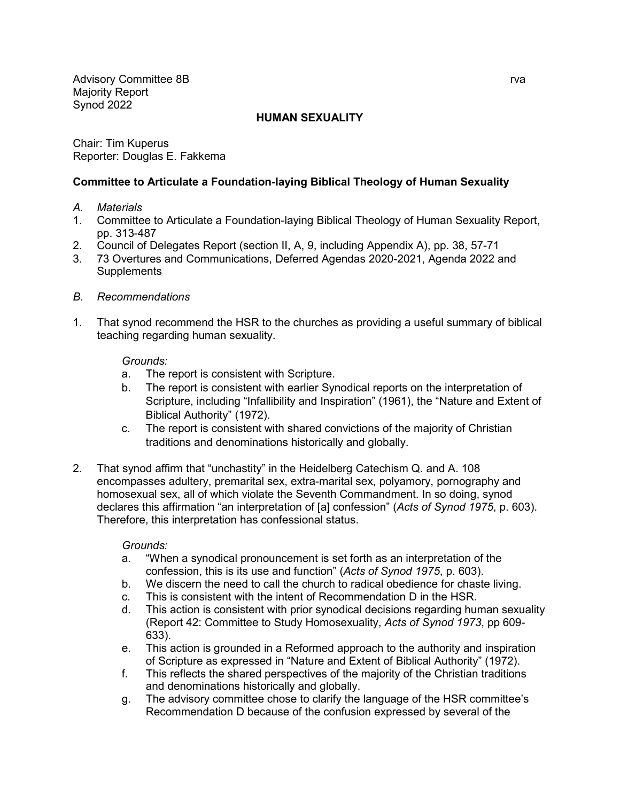Advisory Committee 8B rva and the state of the state of the state of the state of the state of the state of the state of the state of the state of the state of the state of the state of the state of the state of the state Majority Report Synod 2022

# **HUMAN SEXUALITY**

Chair: Tim Kuperus Reporter: Douglas E. Fakkema

# **Committee to Articulate a Foundation-laying Biblical Theology of Human Sexuality**

- *A. Materials*
- 1. Committee to Articulate a Foundation-laying Biblical Theology of Human Sexuality Report, pp. 313-487
- 2. Council of Delegates Report (section II, A, 9, including Appendix A), pp. 38, 57-71
- 3. 73 Overtures and Communications, Deferred Agendas 2020-2021, Agenda 2022 and **Supplements**
- *B. Recommendations*
- 1. That synod recommend the HSR to the churches as providing a useful summary of biblical teaching regarding human sexuality.

### *Grounds:*

- a. The report is consistent with Scripture.
- b. The report is consistent with earlier Synodical reports on the interpretation of Scripture, including "Infallibility and Inspiration" (1961), the "Nature and Extent of Biblical Authority" (1972).
- c. The report is consistent with shared convictions of the majority of Christian traditions and denominations historically and globally.
- 2. That synod affirm that "unchastity" in the Heidelberg Catechism Q. and A. 108 encompasses adultery, premarital sex, extra-marital sex, polyamory, pornography and homosexual sex, all of which violate the Seventh Commandment. In so doing, synod declares this affirmation "an interpretation of [a] confession" (*Acts of Synod 1975*, p. 603). Therefore, this interpretation has confessional status.

### *Grounds:*

- a. "When a synodical pronouncement is set forth as an interpretation of the confession, this is its use and function" (*Acts of Synod 1975*, p. 603).
- b. We discern the need to call the church to radical obedience for chaste living.
- c. This is consistent with the intent of Recommendation D in the HSR.
- d. This action is consistent with prior synodical decisions regarding human sexuality (Report 42: Committee to Study Homosexuality, *Acts of Synod 1973*, pp 609- 633).
- e. This action is grounded in a Reformed approach to the authority and inspiration of Scripture as expressed in "Nature and Extent of Biblical Authority" (1972).
- f. This reflects the shared perspectives of the majority of the Christian traditions and denominations historically and globally.
- g. The advisory committee chose to clarify the language of the HSR committee's Recommendation D because of the confusion expressed by several of the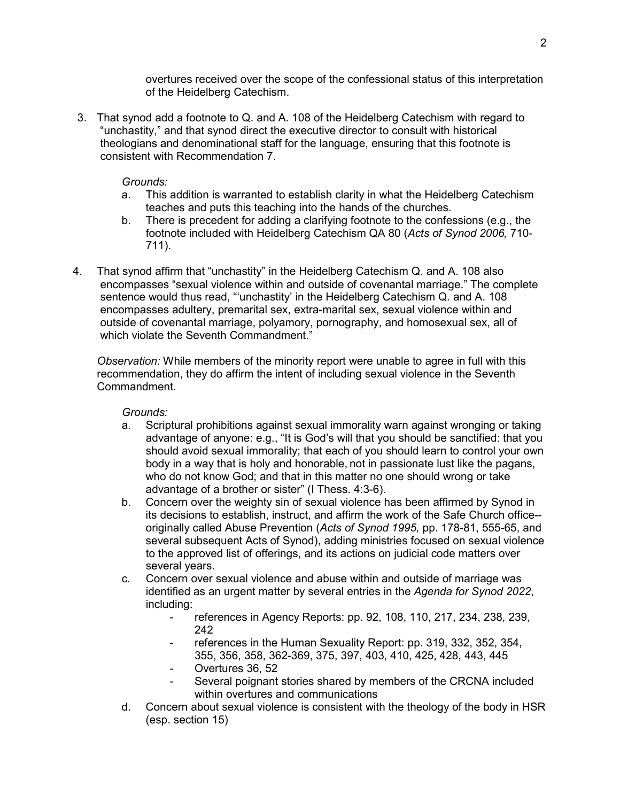overtures received over the scope of the confessional status of this interpretation of the Heidelberg Catechism.

3. That synod add a footnote to Q. and A. 108 of the Heidelberg Catechism with regard to "unchastity," and that synod direct the executive director to consult with historical theologians and denominational staff for the language, ensuring that this footnote is consistent with Recommendation 7.

# *Grounds:*

- a. This addition is warranted to establish clarity in what the Heidelberg Catechism teaches and puts this teaching into the hands of the churches.
- b. There is precedent for adding a clarifying footnote to the confessions (e.g., the footnote included with Heidelberg Catechism QA 80 (*Acts of Synod 2006,* 710- 711).
- 4. That synod affirm that "unchastity" in the Heidelberg Catechism Q. and A. 108 also encompasses "sexual violence within and outside of covenantal marriage." The complete sentence would thus read, "'unchastity' in the Heidelberg Catechism Q. and A. 108 encompasses adultery, premarital sex, extra-marital sex, sexual violence within and outside of covenantal marriage, polyamory, pornography, and homosexual sex, all of which violate the Seventh Commandment."

*Observation:* While members of the minority report were unable to agree in full with this recommendation, they do affirm the intent of including sexual violence in the Seventh Commandment.

### *Grounds:*

- a. Scriptural prohibitions against sexual immorality warn against wronging or taking advantage of anyone: e.g., "It is God's will that you should be sanctified: that you should avoid sexual immorality; that each of you should learn to control your own body in a way that is holy and honorable, not in passionate lust like the pagans, who do not know God; and that in this matter no one should wrong or take advantage of a brother or sister" (I Thess. 4:3-6).
- b. Concern over the weighty sin of sexual violence has been affirmed by Synod in its decisions to establish, instruct, and affirm the work of the Safe Church office- originally called Abuse Prevention (*Acts of Synod 1995,* pp. 178-81, 555-65, and several subsequent Acts of Synod), adding ministries focused on sexual violence to the approved list of offerings, and its actions on judicial code matters over several years.
- c. Concern over sexual violence and abuse within and outside of marriage was identified as an urgent matter by several entries in the *Agenda for Synod 2022*, including:
	- references in Agency Reports: pp. 92, 108, 110, 217, 234, 238, 239, 242
	- references in the Human Sexuality Report: pp. 319, 332, 352, 354, 355, 356, 358, 362-369, 375, 397, 403, 410, 425, 428, 443, 445
	- Overtures 36, 52
	- Several poignant stories shared by members of the CRCNA included within overtures and communications
- d. Concern about sexual violence is consistent with the theology of the body in HSR (esp. section 15)